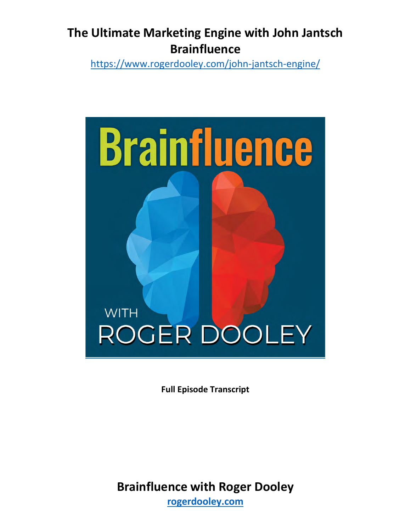<https://www.rogerdooley.com/john-jantsch-engine/>



**Full Episode Transcript**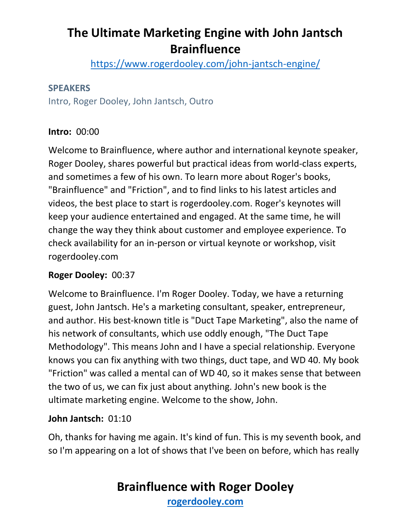<https://www.rogerdooley.com/john-jantsch-engine/>

#### **SPEAKERS**

Intro, Roger Dooley, John Jantsch, Outro

# **Intro:** 00:00

Welcome to Brainfluence, where author and international keynote speaker, Roger Dooley, shares powerful but practical ideas from world-class experts, and sometimes a few of his own. To learn more about Roger's books, "Brainfluence" and "Friction", and to find links to his latest articles and videos, the best place to start is rogerdooley.com. Roger's keynotes will keep your audience entertained and engaged. At the same time, he will change the way they think about customer and employee experience. To check availability for an in-person or virtual keynote or workshop, visit rogerdooley.com

# **Roger Dooley:** 00:37

Welcome to Brainfluence. I'm Roger Dooley. Today, we have a returning guest, John Jantsch. He's a marketing consultant, speaker, entrepreneur, and author. His best-known title is "Duct Tape Marketing", also the name of his network of consultants, which use oddly enough, "The Duct Tape Methodology". This means John and I have a special relationship. Everyone knows you can fix anything with two things, duct tape, and WD 40. My book "Friction" was called a mental can of WD 40, so it makes sense that between the two of us, we can fix just about anything. John's new book is the ultimate marketing engine. Welcome to the show, John.

# **John Jantsch:** 01:10

Oh, thanks for having me again. It's kind of fun. This is my seventh book, and so I'm appearing on a lot of shows that I've been on before, which has really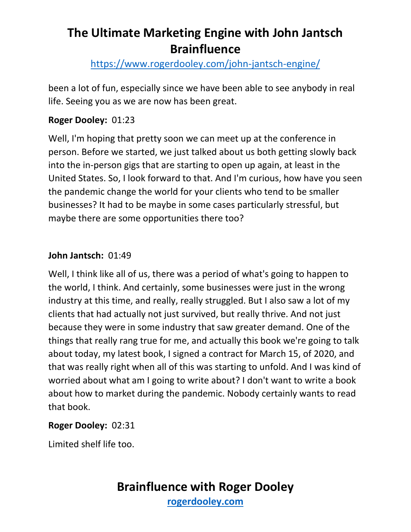<https://www.rogerdooley.com/john-jantsch-engine/>

been a lot of fun, especially since we have been able to see anybody in real life. Seeing you as we are now has been great.

### **Roger Dooley:** 01:23

Well, I'm hoping that pretty soon we can meet up at the conference in person. Before we started, we just talked about us both getting slowly back into the in-person gigs that are starting to open up again, at least in the United States. So, I look forward to that. And I'm curious, how have you seen the pandemic change the world for your clients who tend to be smaller businesses? It had to be maybe in some cases particularly stressful, but maybe there are some opportunities there too?

#### **John Jantsch:** 01:49

Well, I think like all of us, there was a period of what's going to happen to the world, I think. And certainly, some businesses were just in the wrong industry at this time, and really, really struggled. But I also saw a lot of my clients that had actually not just survived, but really thrive. And not just because they were in some industry that saw greater demand. One of the things that really rang true for me, and actually this book we're going to talk about today, my latest book, I signed a contract for March 15, of 2020, and that was really right when all of this was starting to unfold. And I was kind of worried about what am I going to write about? I don't want to write a book about how to market during the pandemic. Nobody certainly wants to read that book.

#### **Roger Dooley:** 02:31

Limited shelf life too.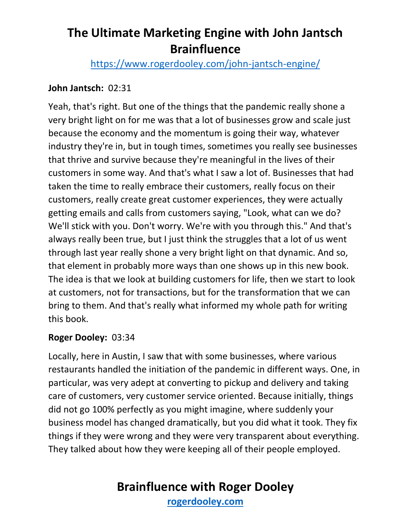<https://www.rogerdooley.com/john-jantsch-engine/>

# **John Jantsch:** 02:31

Yeah, that's right. But one of the things that the pandemic really shone a very bright light on for me was that a lot of businesses grow and scale just because the economy and the momentum is going their way, whatever industry they're in, but in tough times, sometimes you really see businesses that thrive and survive because they're meaningful in the lives of their customers in some way. And that's what I saw a lot of. Businesses that had taken the time to really embrace their customers, really focus on their customers, really create great customer experiences, they were actually getting emails and calls from customers saying, "Look, what can we do? We'll stick with you. Don't worry. We're with you through this." And that's always really been true, but I just think the struggles that a lot of us went through last year really shone a very bright light on that dynamic. And so, that element in probably more ways than one shows up in this new book. The idea is that we look at building customers for life, then we start to look at customers, not for transactions, but for the transformation that we can bring to them. And that's really what informed my whole path for writing this book.

#### **Roger Dooley:** 03:34

Locally, here in Austin, I saw that with some businesses, where various restaurants handled the initiation of the pandemic in different ways. One, in particular, was very adept at converting to pickup and delivery and taking care of customers, very customer service oriented. Because initially, things did not go 100% perfectly as you might imagine, where suddenly your business model has changed dramatically, but you did what it took. They fix things if they were wrong and they were very transparent about everything. They talked about how they were keeping all of their people employed.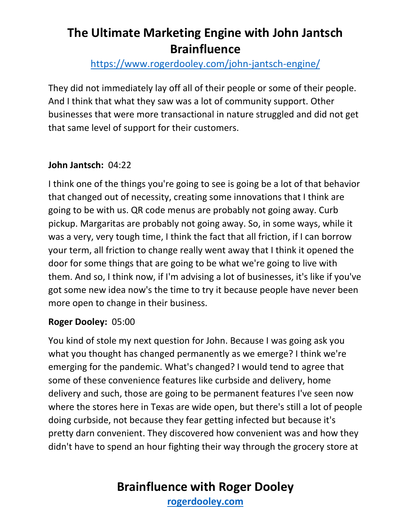<https://www.rogerdooley.com/john-jantsch-engine/>

They did not immediately lay off all of their people or some of their people. And I think that what they saw was a lot of community support. Other businesses that were more transactional in nature struggled and did not get that same level of support for their customers.

# **John Jantsch:** 04:22

I think one of the things you're going to see is going be a lot of that behavior that changed out of necessity, creating some innovations that I think are going to be with us. QR code menus are probably not going away. Curb pickup. Margaritas are probably not going away. So, in some ways, while it was a very, very tough time, I think the fact that all friction, if I can borrow your term, all friction to change really went away that I think it opened the door for some things that are going to be what we're going to live with them. And so, I think now, if I'm advising a lot of businesses, it's like if you've got some new idea now's the time to try it because people have never been more open to change in their business.

#### **Roger Dooley:** 05:00

You kind of stole my next question for John. Because I was going ask you what you thought has changed permanently as we emerge? I think we're emerging for the pandemic. What's changed? I would tend to agree that some of these convenience features like curbside and delivery, home delivery and such, those are going to be permanent features I've seen now where the stores here in Texas are wide open, but there's still a lot of people doing curbside, not because they fear getting infected but because it's pretty darn convenient. They discovered how convenient was and how they didn't have to spend an hour fighting their way through the grocery store at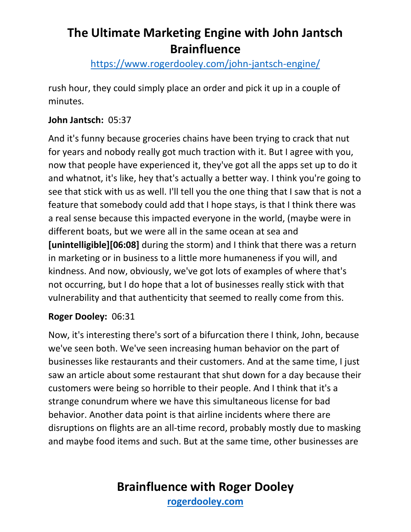<https://www.rogerdooley.com/john-jantsch-engine/>

rush hour, they could simply place an order and pick it up in a couple of minutes.

# **John Jantsch:** 05:37

And it's funny because groceries chains have been trying to crack that nut for years and nobody really got much traction with it. But I agree with you, now that people have experienced it, they've got all the apps set up to do it and whatnot, it's like, hey that's actually a better way. I think you're going to see that stick with us as well. I'll tell you the one thing that I saw that is not a feature that somebody could add that I hope stays, is that I think there was a real sense because this impacted everyone in the world, (maybe were in different boats, but we were all in the same ocean at sea and **[unintelligible][06:08]** during the storm) and I think that there was a return in marketing or in business to a little more humaneness if you will, and kindness. And now, obviously, we've got lots of examples of where that's not occurring, but I do hope that a lot of businesses really stick with that vulnerability and that authenticity that seemed to really come from this.

# **Roger Dooley:** 06:31

Now, it's interesting there's sort of a bifurcation there I think, John, because we've seen both. We've seen increasing human behavior on the part of businesses like restaurants and their customers. And at the same time, I just saw an article about some restaurant that shut down for a day because their customers were being so horrible to their people. And I think that it's a strange conundrum where we have this simultaneous license for bad behavior. Another data point is that airline incidents where there are disruptions on flights are an all-time record, probably mostly due to masking and maybe food items and such. But at the same time, other businesses are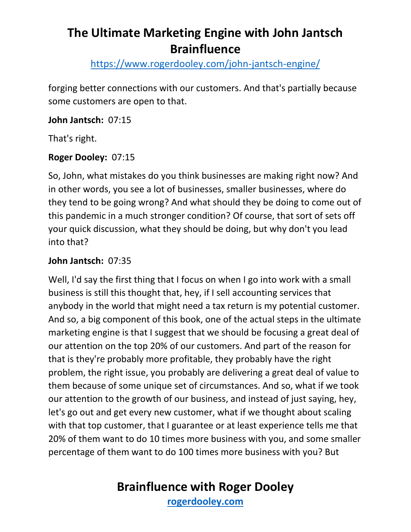<https://www.rogerdooley.com/john-jantsch-engine/>

forging better connections with our customers. And that's partially because some customers are open to that.

### **John Jantsch:** 07:15

That's right.

# **Roger Dooley:** 07:15

So, John, what mistakes do you think businesses are making right now? And in other words, you see a lot of businesses, smaller businesses, where do they tend to be going wrong? And what should they be doing to come out of this pandemic in a much stronger condition? Of course, that sort of sets off your quick discussion, what they should be doing, but why don't you lead into that?

# **John Jantsch:** 07:35

Well, I'd say the first thing that I focus on when I go into work with a small business is still this thought that, hey, if I sell accounting services that anybody in the world that might need a tax return is my potential customer. And so, a big component of this book, one of the actual steps in the ultimate marketing engine is that I suggest that we should be focusing a great deal of our attention on the top 20% of our customers. And part of the reason for that is they're probably more profitable, they probably have the right problem, the right issue, you probably are delivering a great deal of value to them because of some unique set of circumstances. And so, what if we took our attention to the growth of our business, and instead of just saying, hey, let's go out and get every new customer, what if we thought about scaling with that top customer, that I guarantee or at least experience tells me that 20% of them want to do 10 times more business with you, and some smaller percentage of them want to do 100 times more business with you? But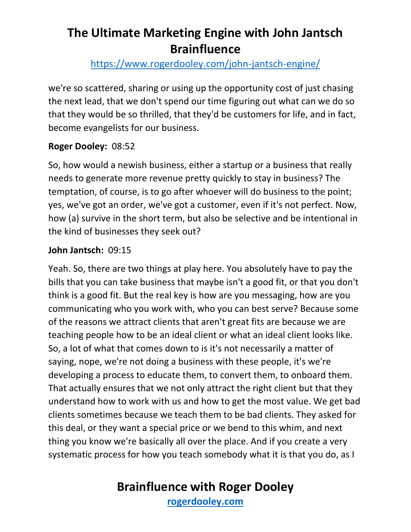# <https://www.rogerdooley.com/john-jantsch-engine/>

we're so scattered, sharing or using up the opportunity cost of just chasing the next lead, that we don't spend our time figuring out what can we do so that they would be so thrilled, that they'd be customers for life, and in fact, become evangelists for our business.

### **Roger Dooley:** 08:52

So, how would a newish business, either a startup or a business that really needs to generate more revenue pretty quickly to stay in business? The temptation, of course, is to go after whoever will do business to the point; yes, we've got an order, we've got a customer, even if it's not perfect. Now, how (a) survive in the short term, but also be selective and be intentional in the kind of businesses they seek out?

#### **John Jantsch:** 09:15

Yeah. So, there are two things at play here. You absolutely have to pay the bills that you can take business that maybe isn't a good fit, or that you don't think is a good fit. But the real key is how are you messaging, how are you communicating who you work with, who you can best serve? Because some of the reasons we attract clients that aren't great fits are because we are teaching people how to be an ideal client or what an ideal client looks like. So, a lot of what that comes down to is it's not necessarily a matter of saying, nope, we're not doing a business with these people, it's we're developing a process to educate them, to convert them, to onboard them. That actually ensures that we not only attract the right client but that they understand how to work with us and how to get the most value. We get bad clients sometimes because we teach them to be bad clients. They asked for this deal, or they want a special price or we bend to this whim, and next thing you know we're basically all over the place. And if you create a very systematic process for how you teach somebody what it is that you do, as I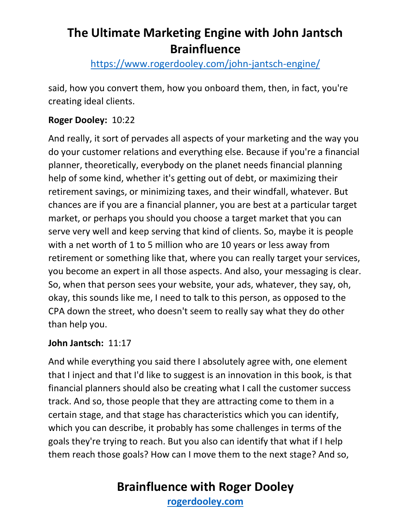<https://www.rogerdooley.com/john-jantsch-engine/>

said, how you convert them, how you onboard them, then, in fact, you're creating ideal clients.

# **Roger Dooley:** 10:22

And really, it sort of pervades all aspects of your marketing and the way you do your customer relations and everything else. Because if you're a financial planner, theoretically, everybody on the planet needs financial planning help of some kind, whether it's getting out of debt, or maximizing their retirement savings, or minimizing taxes, and their windfall, whatever. But chances are if you are a financial planner, you are best at a particular target market, or perhaps you should you choose a target market that you can serve very well and keep serving that kind of clients. So, maybe it is people with a net worth of 1 to 5 million who are 10 years or less away from retirement or something like that, where you can really target your services, you become an expert in all those aspects. And also, your messaging is clear. So, when that person sees your website, your ads, whatever, they say, oh, okay, this sounds like me, I need to talk to this person, as opposed to the CPA down the street, who doesn't seem to really say what they do other than help you.

# **John Jantsch:** 11:17

And while everything you said there I absolutely agree with, one element that I inject and that I'd like to suggest is an innovation in this book, is that financial planners should also be creating what I call the customer success track. And so, those people that they are attracting come to them in a certain stage, and that stage has characteristics which you can identify, which you can describe, it probably has some challenges in terms of the goals they're trying to reach. But you also can identify that what if I help them reach those goals? How can I move them to the next stage? And so,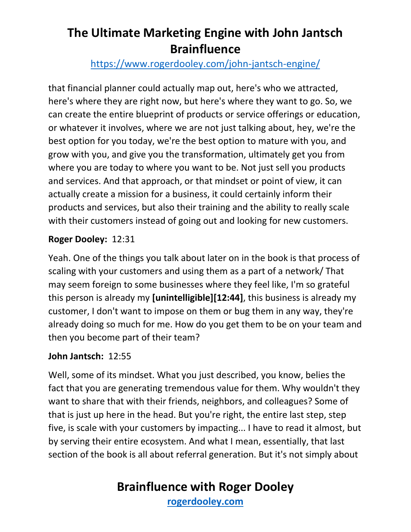# <https://www.rogerdooley.com/john-jantsch-engine/>

that financial planner could actually map out, here's who we attracted, here's where they are right now, but here's where they want to go. So, we can create the entire blueprint of products or service offerings or education, or whatever it involves, where we are not just talking about, hey, we're the best option for you today, we're the best option to mature with you, and grow with you, and give you the transformation, ultimately get you from where you are today to where you want to be. Not just sell you products and services. And that approach, or that mindset or point of view, it can actually create a mission for a business, it could certainly inform their products and services, but also their training and the ability to really scale with their customers instead of going out and looking for new customers.

# **Roger Dooley:** 12:31

Yeah. One of the things you talk about later on in the book is that process of scaling with your customers and using them as a part of a network/ That may seem foreign to some businesses where they feel like, I'm so grateful this person is already my **[unintelligible][12:44]**, this business is already my customer, I don't want to impose on them or bug them in any way, they're already doing so much for me. How do you get them to be on your team and then you become part of their team?

# **John Jantsch:** 12:55

Well, some of its mindset. What you just described, you know, belies the fact that you are generating tremendous value for them. Why wouldn't they want to share that with their friends, neighbors, and colleagues? Some of that is just up here in the head. But you're right, the entire last step, step five, is scale with your customers by impacting... I have to read it almost, but by serving their entire ecosystem. And what I mean, essentially, that last section of the book is all about referral generation. But it's not simply about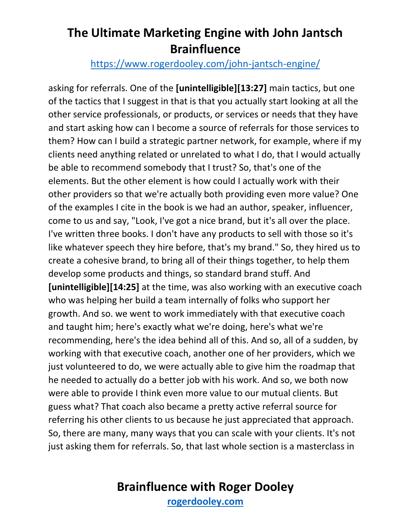### <https://www.rogerdooley.com/john-jantsch-engine/>

asking for referrals. One of the **[unintelligible][13:27]** main tactics, but one of the tactics that I suggest in that is that you actually start looking at all the other service professionals, or products, or services or needs that they have and start asking how can I become a source of referrals for those services to them? How can I build a strategic partner network, for example, where if my clients need anything related or unrelated to what I do, that I would actually be able to recommend somebody that I trust? So, that's one of the elements. But the other element is how could I actually work with their other providers so that we're actually both providing even more value? One of the examples I cite in the book is we had an author, speaker, influencer, come to us and say, "Look, I've got a nice brand, but it's all over the place. I've written three books. I don't have any products to sell with those so it's like whatever speech they hire before, that's my brand." So, they hired us to create a cohesive brand, to bring all of their things together, to help them develop some products and things, so standard brand stuff. And **[unintelligible][14:25]** at the time, was also working with an executive coach who was helping her build a team internally of folks who support her growth. And so. we went to work immediately with that executive coach and taught him; here's exactly what we're doing, here's what we're recommending, here's the idea behind all of this. And so, all of a sudden, by working with that executive coach, another one of her providers, which we just volunteered to do, we were actually able to give him the roadmap that he needed to actually do a better job with his work. And so, we both now were able to provide I think even more value to our mutual clients. But guess what? That coach also became a pretty active referral source for referring his other clients to us because he just appreciated that approach. So, there are many, many ways that you can scale with your clients. It's not just asking them for referrals. So, that last whole section is a masterclass in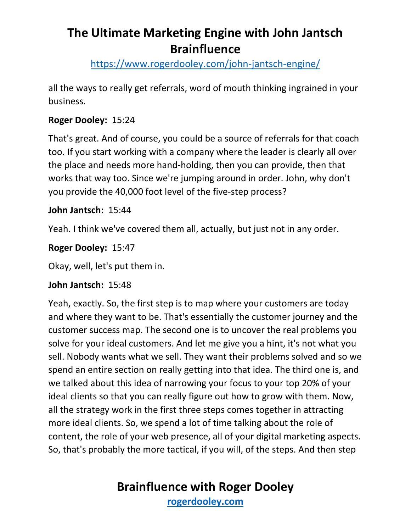<https://www.rogerdooley.com/john-jantsch-engine/>

all the ways to really get referrals, word of mouth thinking ingrained in your business.

# **Roger Dooley:** 15:24

That's great. And of course, you could be a source of referrals for that coach too. If you start working with a company where the leader is clearly all over the place and needs more hand-holding, then you can provide, then that works that way too. Since we're jumping around in order. John, why don't you provide the 40,000 foot level of the five-step process?

# **John Jantsch:** 15:44

Yeah. I think we've covered them all, actually, but just not in any order.

### **Roger Dooley:** 15:47

Okay, well, let's put them in.

#### **John Jantsch:** 15:48

Yeah, exactly. So, the first step is to map where your customers are today and where they want to be. That's essentially the customer journey and the customer success map. The second one is to uncover the real problems you solve for your ideal customers. And let me give you a hint, it's not what you sell. Nobody wants what we sell. They want their problems solved and so we spend an entire section on really getting into that idea. The third one is, and we talked about this idea of narrowing your focus to your top 20% of your ideal clients so that you can really figure out how to grow with them. Now, all the strategy work in the first three steps comes together in attracting more ideal clients. So, we spend a lot of time talking about the role of content, the role of your web presence, all of your digital marketing aspects. So, that's probably the more tactical, if you will, of the steps. And then step

# **Brainfluence with Roger Dooley**

**[rogerdooley.com](https://www.rogerdooley.com/)**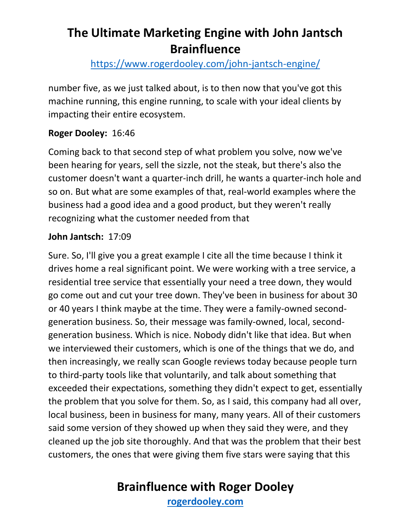<https://www.rogerdooley.com/john-jantsch-engine/>

number five, as we just talked about, is to then now that you've got this machine running, this engine running, to scale with your ideal clients by impacting their entire ecosystem.

# **Roger Dooley:** 16:46

Coming back to that second step of what problem you solve, now we've been hearing for years, sell the sizzle, not the steak, but there's also the customer doesn't want a quarter-inch drill, he wants a quarter-inch hole and so on. But what are some examples of that, real-world examples where the business had a good idea and a good product, but they weren't really recognizing what the customer needed from that

### **John Jantsch:** 17:09

Sure. So, I'll give you a great example I cite all the time because I think it drives home a real significant point. We were working with a tree service, a residential tree service that essentially your need a tree down, they would go come out and cut your tree down. They've been in business for about 30 or 40 years I think maybe at the time. They were a family-owned secondgeneration business. So, their message was family-owned, local, secondgeneration business. Which is nice. Nobody didn't like that idea. But when we interviewed their customers, which is one of the things that we do, and then increasingly, we really scan Google reviews today because people turn to third-party tools like that voluntarily, and talk about something that exceeded their expectations, something they didn't expect to get, essentially the problem that you solve for them. So, as I said, this company had all over, local business, been in business for many, many years. All of their customers said some version of they showed up when they said they were, and they cleaned up the job site thoroughly. And that was the problem that their best customers, the ones that were giving them five stars were saying that this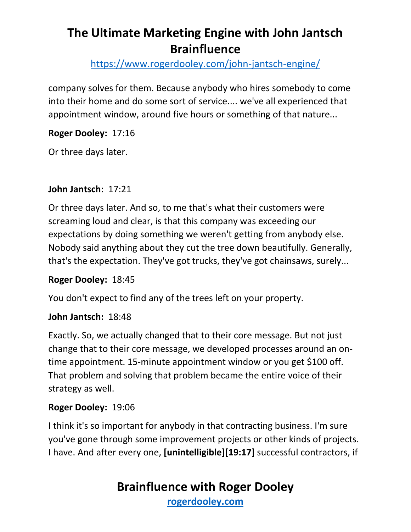<https://www.rogerdooley.com/john-jantsch-engine/>

company solves for them. Because anybody who hires somebody to come into their home and do some sort of service.... we've all experienced that appointment window, around five hours or something of that nature...

**Roger Dooley:** 17:16

Or three days later.

# **John Jantsch:** 17:21

Or three days later. And so, to me that's what their customers were screaming loud and clear, is that this company was exceeding our expectations by doing something we weren't getting from anybody else. Nobody said anything about they cut the tree down beautifully. Generally, that's the expectation. They've got trucks, they've got chainsaws, surely...

#### **Roger Dooley:** 18:45

You don't expect to find any of the trees left on your property.

#### **John Jantsch:** 18:48

Exactly. So, we actually changed that to their core message. But not just change that to their core message, we developed processes around an ontime appointment. 15-minute appointment window or you get \$100 off. That problem and solving that problem became the entire voice of their strategy as well.

# **Roger Dooley:** 19:06

I think it's so important for anybody in that contracting business. I'm sure you've gone through some improvement projects or other kinds of projects. I have. And after every one, **[unintelligible][19:17]** successful contractors, if

# **Brainfluence with Roger Dooley**

**[rogerdooley.com](https://www.rogerdooley.com/)**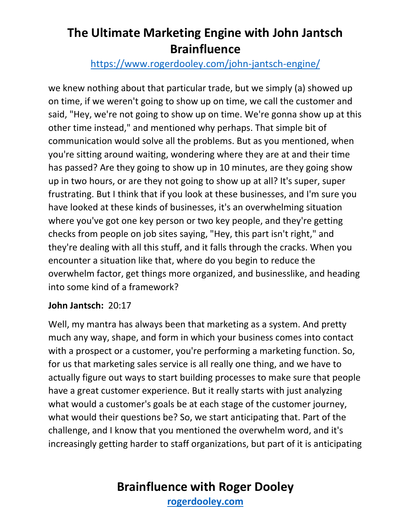# <https://www.rogerdooley.com/john-jantsch-engine/>

we knew nothing about that particular trade, but we simply (a) showed up on time, if we weren't going to show up on time, we call the customer and said, "Hey, we're not going to show up on time. We're gonna show up at this other time instead," and mentioned why perhaps. That simple bit of communication would solve all the problems. But as you mentioned, when you're sitting around waiting, wondering where they are at and their time has passed? Are they going to show up in 10 minutes, are they going show up in two hours, or are they not going to show up at all? It's super, super frustrating. But I think that if you look at these businesses, and I'm sure you have looked at these kinds of businesses, it's an overwhelming situation where you've got one key person or two key people, and they're getting checks from people on job sites saying, "Hey, this part isn't right," and they're dealing with all this stuff, and it falls through the cracks. When you encounter a situation like that, where do you begin to reduce the overwhelm factor, get things more organized, and businesslike, and heading into some kind of a framework?

#### **John Jantsch:** 20:17

Well, my mantra has always been that marketing as a system. And pretty much any way, shape, and form in which your business comes into contact with a prospect or a customer, you're performing a marketing function. So, for us that marketing sales service is all really one thing, and we have to actually figure out ways to start building processes to make sure that people have a great customer experience. But it really starts with just analyzing what would a customer's goals be at each stage of the customer journey, what would their questions be? So, we start anticipating that. Part of the challenge, and I know that you mentioned the overwhelm word, and it's increasingly getting harder to staff organizations, but part of it is anticipating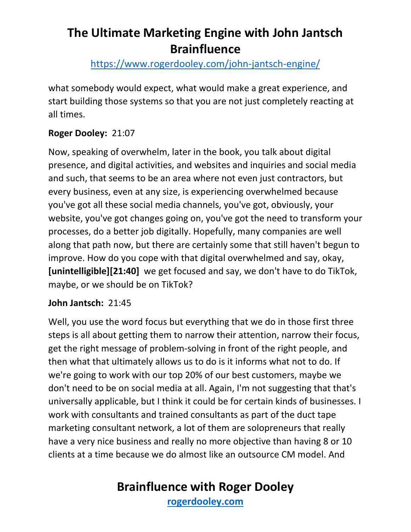<https://www.rogerdooley.com/john-jantsch-engine/>

what somebody would expect, what would make a great experience, and start building those systems so that you are not just completely reacting at all times.

# **Roger Dooley:** 21:07

Now, speaking of overwhelm, later in the book, you talk about digital presence, and digital activities, and websites and inquiries and social media and such, that seems to be an area where not even just contractors, but every business, even at any size, is experiencing overwhelmed because you've got all these social media channels, you've got, obviously, your website, you've got changes going on, you've got the need to transform your processes, do a better job digitally. Hopefully, many companies are well along that path now, but there are certainly some that still haven't begun to improve. How do you cope with that digital overwhelmed and say, okay, **[unintelligible][21:40]** we get focused and say, we don't have to do TikTok, maybe, or we should be on TikTok?

# **John Jantsch:** 21:45

Well, you use the word focus but everything that we do in those first three steps is all about getting them to narrow their attention, narrow their focus, get the right message of problem-solving in front of the right people, and then what that ultimately allows us to do is it informs what not to do. If we're going to work with our top 20% of our best customers, maybe we don't need to be on social media at all. Again, I'm not suggesting that that's universally applicable, but I think it could be for certain kinds of businesses. I work with consultants and trained consultants as part of the duct tape marketing consultant network, a lot of them are solopreneurs that really have a very nice business and really no more objective than having 8 or 10 clients at a time because we do almost like an outsource CM model. And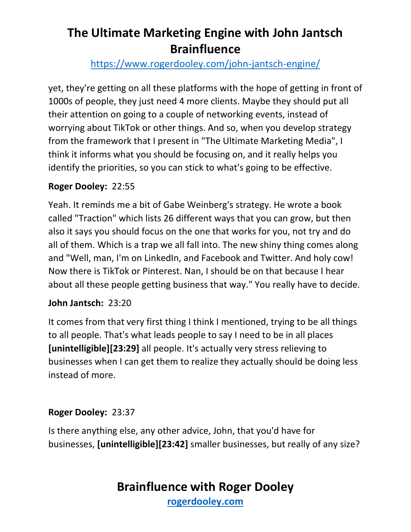# <https://www.rogerdooley.com/john-jantsch-engine/>

yet, they're getting on all these platforms with the hope of getting in front of 1000s of people, they just need 4 more clients. Maybe they should put all their attention on going to a couple of networking events, instead of worrying about TikTok or other things. And so, when you develop strategy from the framework that I present in "The Ultimate Marketing Media", I think it informs what you should be focusing on, and it really helps you identify the priorities, so you can stick to what's going to be effective.

### **Roger Dooley:** 22:55

Yeah. It reminds me a bit of Gabe Weinberg's strategy. He wrote a book called "Traction" which lists 26 different ways that you can grow, but then also it says you should focus on the one that works for you, not try and do all of them. Which is a trap we all fall into. The new shiny thing comes along and "Well, man, I'm on LinkedIn, and Facebook and Twitter. And holy cow! Now there is TikTok or Pinterest. Nan, I should be on that because I hear about all these people getting business that way." You really have to decide.

# **John Jantsch:** 23:20

It comes from that very first thing I think I mentioned, trying to be all things to all people. That's what leads people to say I need to be in all places **[unintelligible][23:29]** all people. It's actually very stress relieving to businesses when I can get them to realize they actually should be doing less instead of more.

# **Roger Dooley:** 23:37

Is there anything else, any other advice, John, that you'd have for businesses, **[unintelligible][23:42]** smaller businesses, but really of any size?

# **Brainfluence with Roger Dooley**

**[rogerdooley.com](https://www.rogerdooley.com/)**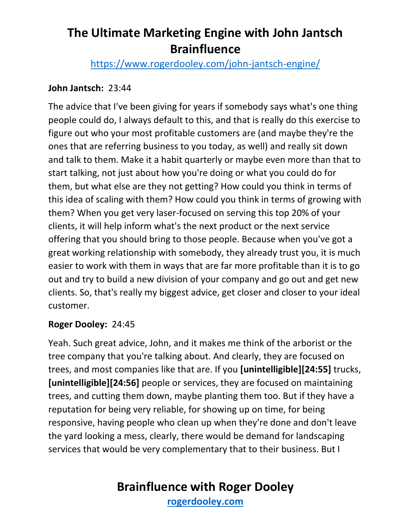<https://www.rogerdooley.com/john-jantsch-engine/>

### **John Jantsch:** 23:44

The advice that I've been giving for years if somebody says what's one thing people could do, I always default to this, and that is really do this exercise to figure out who your most profitable customers are (and maybe they're the ones that are referring business to you today, as well) and really sit down and talk to them. Make it a habit quarterly or maybe even more than that to start talking, not just about how you're doing or what you could do for them, but what else are they not getting? How could you think in terms of this idea of scaling with them? How could you think in terms of growing with them? When you get very laser-focused on serving this top 20% of your clients, it will help inform what's the next product or the next service offering that you should bring to those people. Because when you've got a great working relationship with somebody, they already trust you, it is much easier to work with them in ways that are far more profitable than it is to go out and try to build a new division of your company and go out and get new clients. So, that's really my biggest advice, get closer and closer to your ideal customer.

#### **Roger Dooley:** 24:45

Yeah. Such great advice, John, and it makes me think of the arborist or the tree company that you're talking about. And clearly, they are focused on trees, and most companies like that are. If you **[unintelligible][24:55]** trucks, **[unintelligible][24:56]** people or services, they are focused on maintaining trees, and cutting them down, maybe planting them too. But if they have a reputation for being very reliable, for showing up on time, for being responsive, having people who clean up when they're done and don't leave the yard looking a mess, clearly, there would be demand for landscaping services that would be very complementary that to their business. But I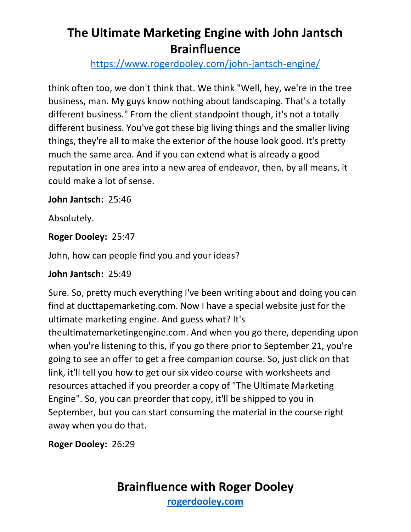<https://www.rogerdooley.com/john-jantsch-engine/>

think often too, we don't think that. We think "Well, hey, we're in the tree business, man. My guys know nothing about landscaping. That's a totally different business." From the client standpoint though, it's not a totally different business. You've got these big living things and the smaller living things, they're all to make the exterior of the house look good. It's pretty much the same area. And if you can extend what is already a good reputation in one area into a new area of endeavor, then, by all means, it could make a lot of sense.

# **John Jantsch:** 25:46

Absolutely.

# **Roger Dooley:** 25:47

John, how can people find you and your ideas?

#### **John Jantsch:** 25:49

Sure. So, pretty much everything I've been writing about and doing you can find at ducttapemarketing.com. Now I have a special website just for the ultimate marketing engine. And guess what? It's theultimatemarketingengine.com. And when you go there, depending upon when you're listening to this, if you go there prior to September 21, you're going to see an offer to get a free companion course. So, just click on that link, it'll tell you how to get our six video course with worksheets and resources attached if you preorder a copy of "The Ultimate Marketing Engine". So, you can preorder that copy, it'll be shipped to you in September, but you can start consuming the material in the course right away when you do that.

**Roger Dooley:** 26:29